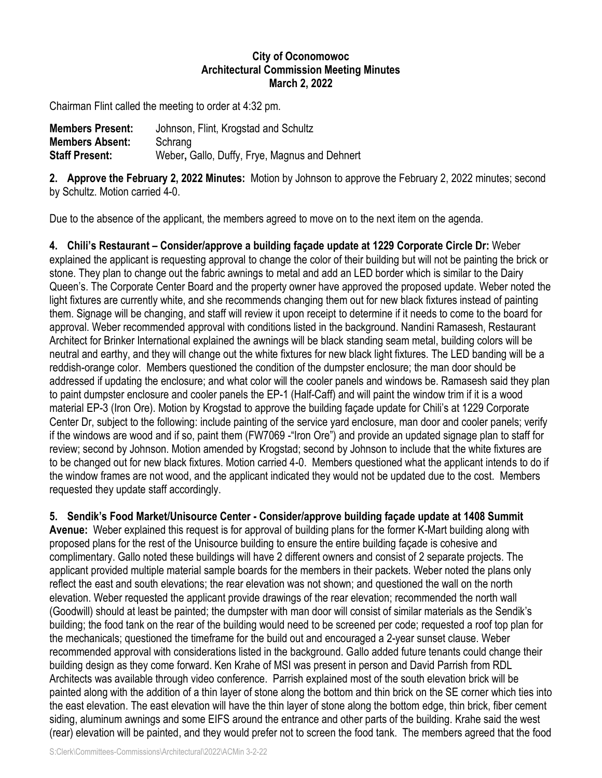## **City of Oconomowoc Architectural Commission Meeting Minutes March 2, 2022**

Chairman Flint called the meeting to order at 4:32 pm.

| <b>Members Present:</b> | Johnson, Flint, Krogstad and Schultz          |
|-------------------------|-----------------------------------------------|
| <b>Members Absent:</b>  | Schrang                                       |
| <b>Staff Present:</b>   | Weber, Gallo, Duffy, Frye, Magnus and Dehnert |

**2. Approve the February 2, 2022 Minutes:** Motion by Johnson to approve the February 2, 2022 minutes; second by Schultz. Motion carried 4-0.

Due to the absence of the applicant, the members agreed to move on to the next item on the agenda.

**4. Chili's Restaurant – Consider/approve a building façade update at 1229 Corporate Circle Dr:** Weber explained the applicant is requesting approval to change the color of their building but will not be painting the brick or stone. They plan to change out the fabric awnings to metal and add an LED border which is similar to the Dairy Queen's. The Corporate Center Board and the property owner have approved the proposed update. Weber noted the light fixtures are currently white, and she recommends changing them out for new black fixtures instead of painting them. Signage will be changing, and staff will review it upon receipt to determine if it needs to come to the board for approval. Weber recommended approval with conditions listed in the background. Nandini Ramasesh, Restaurant Architect for Brinker International explained the awnings will be black standing seam metal, building colors will be neutral and earthy, and they will change out the white fixtures for new black light fixtures. The LED banding will be a reddish-orange color. Members questioned the condition of the dumpster enclosure; the man door should be addressed if updating the enclosure; and what color will the cooler panels and windows be. Ramasesh said they plan to paint dumpster enclosure and cooler panels the EP-1 (Half-Caff) and will paint the window trim if it is a wood material EP-3 (Iron Ore). Motion by Krogstad to approve the building façade update for Chili's at 1229 Corporate Center Dr, subject to the following: include painting of the service yard enclosure, man door and cooler panels; verify if the windows are wood and if so, paint them (FW7069 -"Iron Ore") and provide an updated signage plan to staff for review; second by Johnson. Motion amended by Krogstad; second by Johnson to include that the white fixtures are to be changed out for new black fixtures. Motion carried 4-0. Members questioned what the applicant intends to do if the window frames are not wood, and the applicant indicated they would not be updated due to the cost. Members requested they update staff accordingly.

**5. Sendik's Food Market/Unisource Center - Consider/approve building façade update at 1408 Summit**

**Avenue:** Weber explained this request is for approval of building plans for the former K-Mart building along with proposed plans for the rest of the Unisource building to ensure the entire building façade is cohesive and complimentary. Gallo noted these buildings will have 2 different owners and consist of 2 separate projects. The applicant provided multiple material sample boards for the members in their packets. Weber noted the plans only reflect the east and south elevations; the rear elevation was not shown; and questioned the wall on the north elevation. Weber requested the applicant provide drawings of the rear elevation; recommended the north wall (Goodwill) should at least be painted; the dumpster with man door will consist of similar materials as the Sendik's building; the food tank on the rear of the building would need to be screened per code; requested a roof top plan for the mechanicals; questioned the timeframe for the build out and encouraged a 2-year sunset clause. Weber recommended approval with considerations listed in the background. Gallo added future tenants could change their building design as they come forward. Ken Krahe of MSI was present in person and David Parrish from RDL Architects was available through video conference. Parrish explained most of the south elevation brick will be painted along with the addition of a thin layer of stone along the bottom and thin brick on the SE corner which ties into the east elevation. The east elevation will have the thin layer of stone along the bottom edge, thin brick, fiber cement siding, aluminum awnings and some EIFS around the entrance and other parts of the building. Krahe said the west (rear) elevation will be painted, and they would prefer not to screen the food tank. The members agreed that the food